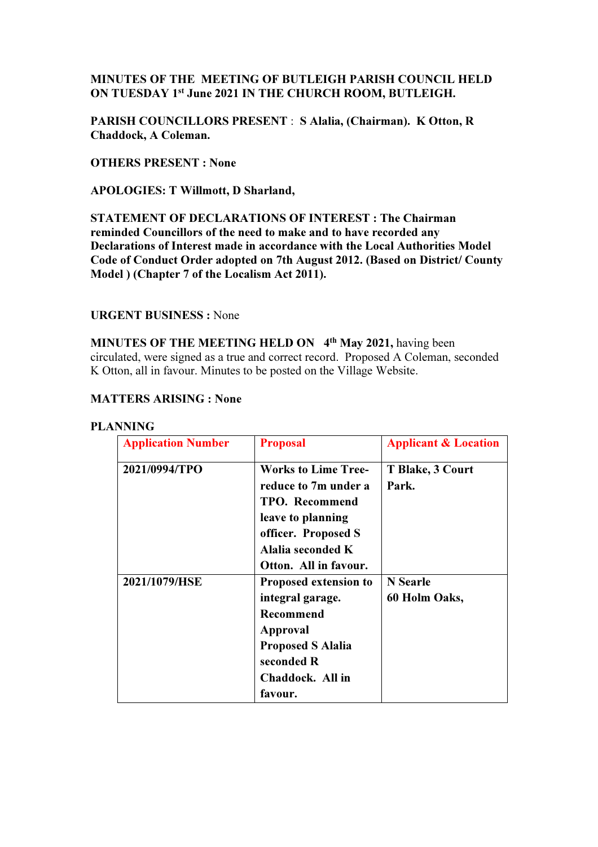# MINUTES OF THE MEETING OF BUTLEIGH PARISH COUNCIL HELD ON TUESDAY 1st June 2021 IN THE CHURCH ROOM, BUTLEIGH.

PARISH COUNCILLORS PRESENT : S Alalia, (Chairman). K Otton, R Chaddock, A Coleman.

OTHERS PRESENT : None

APOLOGIES: T Willmott, D Sharland,

STATEMENT OF DECLARATIONS OF INTEREST : The Chairman reminded Councillors of the need to make and to have recorded any Declarations of Interest made in accordance with the Local Authorities Model Code of Conduct Order adopted on 7th August 2012. (Based on District/ County Model ) (Chapter 7 of the Localism Act 2011).

#### URGENT BUSINESS : None

MINUTES OF THE MEETING HELD ON 4<sup>th</sup> May 2021, having been circulated, were signed as a true and correct record. Proposed A Coleman, seconded K Otton, all in favour. Minutes to be posted on the Village Website.

## MATTERS ARISING : None

| <b>Application Number</b> | <b>Proposal</b>                                                                                                                              | <b>Applicant &amp; Location</b>  |
|---------------------------|----------------------------------------------------------------------------------------------------------------------------------------------|----------------------------------|
| 2021/0994/TPO             | <b>Works to Lime Tree-</b><br>reduce to 7m under a<br><b>TPO.</b> Recommend<br>leave to planning<br>officer. Proposed S<br>Alalia seconded K | T Blake, 3 Court<br>Park.        |
|                           | Otton. All in favour.                                                                                                                        |                                  |
| 2021/1079/HSE             | Proposed extension to<br>integral garage.<br>Recommend<br>Approval<br><b>Proposed S Alalia</b><br>seconded R<br>Chaddock. All in<br>favour.  | <b>N</b> Searle<br>60 Holm Oaks, |

#### PLANNING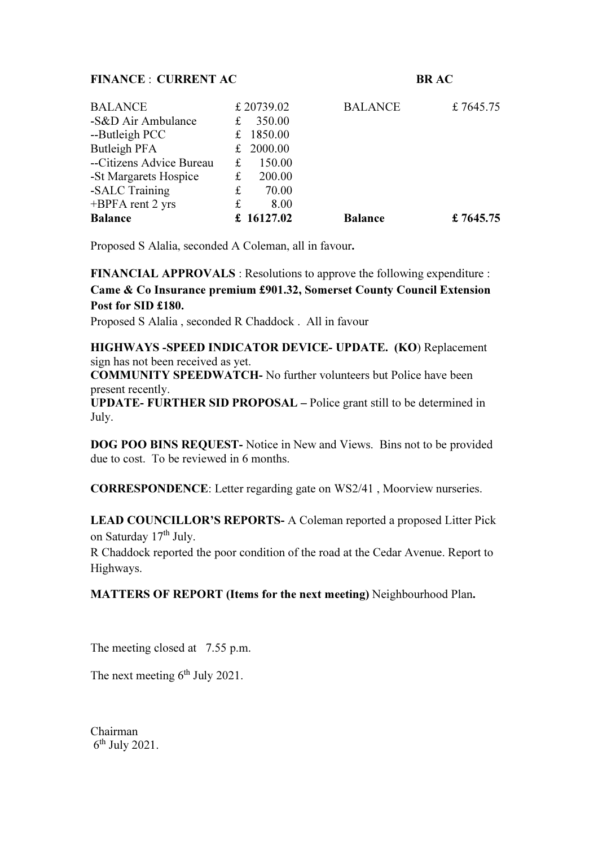#### FINANCE : CURRENT AC BR AC

| <b>BALANCE</b>           |   | £ 20739.02  | <b>BALANCE</b> | £7645.75  |
|--------------------------|---|-------------|----------------|-----------|
| -S&D Air Ambulance       | £ | 350.00      |                |           |
| --Butleigh PCC           | £ | 1850.00     |                |           |
| Butleigh PFA             |   | £ $2000.00$ |                |           |
| --Citizens Advice Bureau | £ | 150.00      |                |           |
| -St Margarets Hospice    | £ | 200.00      |                |           |
| -SALC Training           | £ | 70.00       |                |           |
| $+BPPA$ rent 2 yrs       | £ | 8.00        |                |           |
| <b>Balance</b>           |   | £ 16127.02  | <b>Balance</b> | £ 7645.75 |

Proposed S Alalia, seconded A Coleman, all in favour.

# FINANCIAL APPROVALS : Resolutions to approve the following expenditure : Came & Co Insurance premium £901.32, Somerset County Council Extension Post for SID £180.

Proposed S Alalia , seconded R Chaddock . All in favour

HIGHWAYS -SPEED INDICATOR DEVICE- UPDATE. (KO) Replacement sign has not been received as yet.

COMMUNITY SPEEDWATCH- No further volunteers but Police have been present recently.

UPDATE- FURTHER SID PROPOSAL – Police grant still to be determined in July.

DOG POO BINS REQUEST- Notice in New and Views. Bins not to be provided due to cost. To be reviewed in 6 months.

CORRESPONDENCE: Letter regarding gate on WS2/41 , Moorview nurseries.

LEAD COUNCILLOR'S REPORTS- A Coleman reported a proposed Litter Pick on Saturday 17th July.

R Chaddock reported the poor condition of the road at the Cedar Avenue. Report to Highways.

MATTERS OF REPORT (Items for the next meeting) Neighbourhood Plan.

The meeting closed at 7.55 p.m.

The next meeting  $6<sup>th</sup>$  July 2021.

Chairman  $6<sup>th</sup>$  July 2021.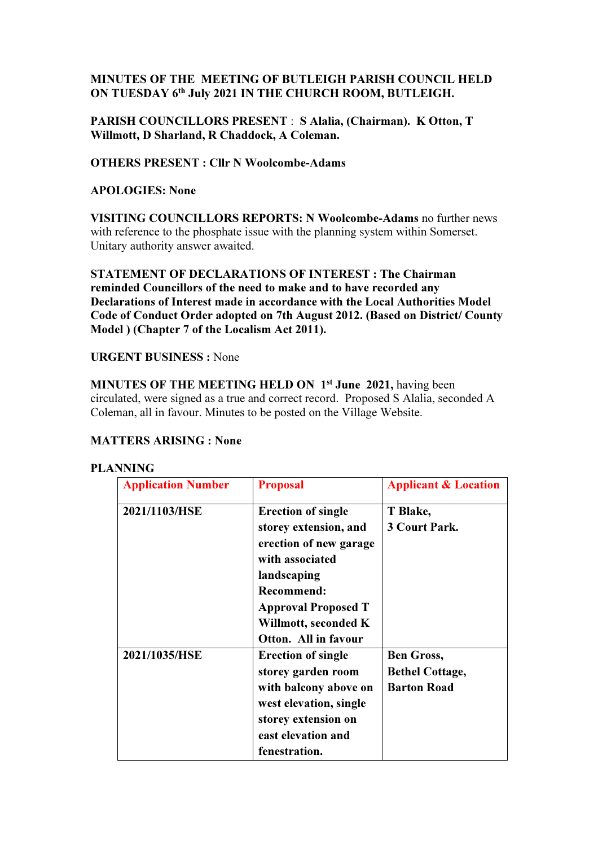# MINUTES OF THE MEETING OF BUTLEIGH PARISH COUNCIL HELD ON TUESDAY 6th July 2021 IN THE CHURCH ROOM, BUTLEIGH.

# PARISH COUNCILLORS PRESENT : S Alalia, (Chairman). K Otton, T Willmott, D Sharland, R Chaddock, A Coleman.

# OTHERS PRESENT : Cllr N Woolcombe-Adams

#### APOLOGIES: None

VISITING COUNCILLORS REPORTS: N Woolcombe-Adams no further news with reference to the phosphate issue with the planning system within Somerset. Unitary authority answer awaited.

STATEMENT OF DECLARATIONS OF INTEREST : The Chairman reminded Councillors of the need to make and to have recorded any Declarations of Interest made in accordance with the Local Authorities Model Code of Conduct Order adopted on 7th August 2012. (Based on District/ County Model ) (Chapter 7 of the Localism Act 2011).

## URGENT BUSINESS : None

MINUTES OF THE MEETING HELD ON 1<sup>st</sup> June 2021, having been circulated, were signed as a true and correct record. Proposed S Alalia, seconded A Coleman, all in favour. Minutes to be posted on the Village Website.

# MATTERS ARISING : None

#### PLANNING

| <b>Application Number</b> | <b>Proposal</b>                                                                                                                                                                                                   | <b>Applicant &amp; Location</b>                                   |
|---------------------------|-------------------------------------------------------------------------------------------------------------------------------------------------------------------------------------------------------------------|-------------------------------------------------------------------|
| 2021/1103/HSE             | <b>Erection of single</b><br>storey extension, and<br>erection of new garage<br>with associated<br>landscaping<br><b>Recommend:</b><br><b>Approval Proposed T</b><br>Willmott, seconded K<br>Otton. All in favour | T Blake,<br><b>3 Court Park.</b>                                  |
| 2021/1035/HSE             | <b>Erection of single</b><br>storey garden room<br>with balcony above on<br>west elevation, single<br>storey extension on<br>east elevation and<br>fenestration.                                                  | <b>Ben Gross,</b><br><b>Bethel Cottage,</b><br><b>Barton Road</b> |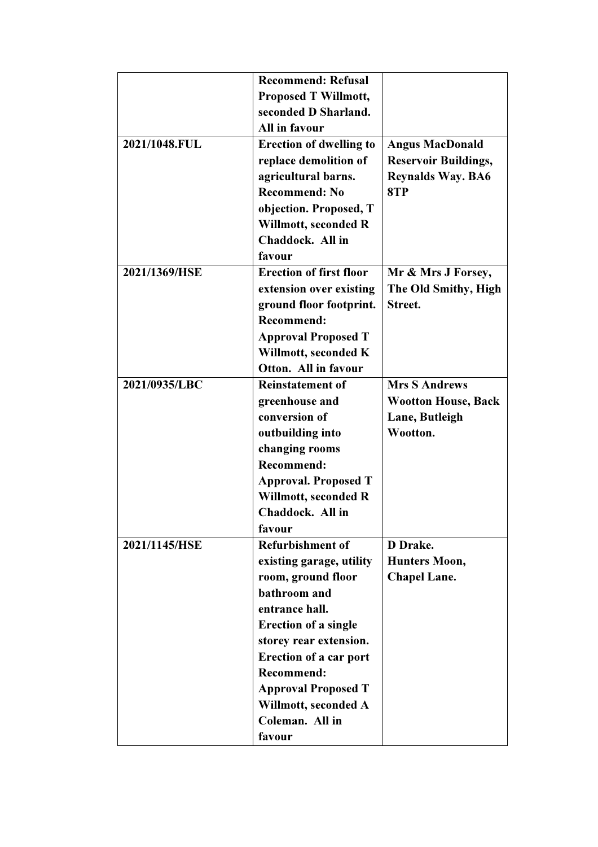|               | <b>Recommend: Refusal</b>      |                             |
|---------------|--------------------------------|-----------------------------|
|               | <b>Proposed T Willmott,</b>    |                             |
|               | seconded D Sharland.           |                             |
|               | All in favour                  |                             |
| 2021/1048.FUL |                                |                             |
|               | <b>Erection of dwelling to</b> | <b>Angus MacDonald</b>      |
|               | replace demolition of          | <b>Reservoir Buildings,</b> |
|               | agricultural barns.            | <b>Reynalds Way. BA6</b>    |
|               | <b>Recommend: No</b>           | 8TP                         |
|               | objection. Proposed, T         |                             |
|               | Willmott, seconded R           |                             |
|               | Chaddock. All in               |                             |
|               | favour                         |                             |
| 2021/1369/HSE | <b>Erection of first floor</b> | Mr & Mrs J Forsey,          |
|               | extension over existing        | The Old Smithy, High        |
|               | ground floor footprint.        | Street.                     |
|               | <b>Recommend:</b>              |                             |
|               | <b>Approval Proposed T</b>     |                             |
|               | Willmott, seconded K           |                             |
|               | Otton. All in favour           |                             |
| 2021/0935/LBC | <b>Reinstatement of</b>        | <b>Mrs S Andrews</b>        |
|               | greenhouse and                 | <b>Wootton House, Back</b>  |
|               | conversion of                  | Lane, Butleigh              |
|               | outbuilding into               | Wootton.                    |
|               | changing rooms                 |                             |
|               | <b>Recommend:</b>              |                             |
|               | <b>Approval. Proposed T</b>    |                             |
|               |                                |                             |
|               | Willmott, seconded R           |                             |
|               | Chaddock. All in               |                             |
|               | favour                         |                             |
| 2021/1145/HSE | <b>Refurbishment of</b>        | D Drake.                    |
|               | existing garage, utility       | <b>Hunters Moon,</b>        |
|               | room, ground floor             | <b>Chapel Lane.</b>         |
|               | bathroom and                   |                             |
|               | entrance hall.                 |                             |
|               | <b>Erection of a single</b>    |                             |
|               | storey rear extension.         |                             |
|               | <b>Erection of a car port</b>  |                             |
|               | <b>Recommend:</b>              |                             |
|               | <b>Approval Proposed T</b>     |                             |
|               | Willmott, seconded A           |                             |
|               | Coleman. All in                |                             |
|               | favour                         |                             |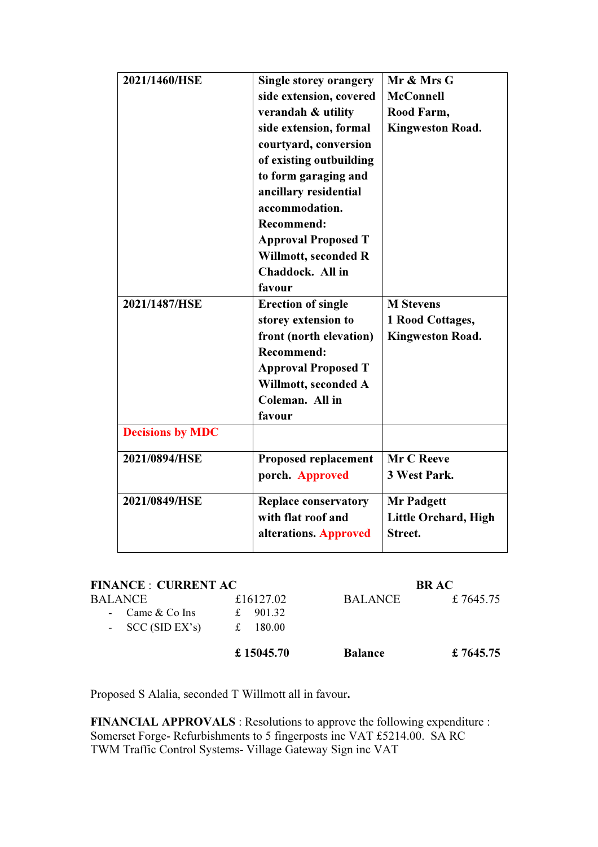| 2021/1460/HSE           | Single storey orangery      | Mr & Mrs G                  |
|-------------------------|-----------------------------|-----------------------------|
|                         | side extension, covered     | <b>McConnell</b>            |
|                         | verandah & utility          | Rood Farm,                  |
|                         | side extension, formal      | <b>Kingweston Road.</b>     |
|                         | courtyard, conversion       |                             |
|                         | of existing outbuilding     |                             |
|                         | to form garaging and        |                             |
|                         | ancillary residential       |                             |
|                         | accommodation.              |                             |
|                         | <b>Recommend:</b>           |                             |
|                         | <b>Approval Proposed T</b>  |                             |
|                         | Willmott, seconded R        |                             |
|                         | Chaddock. All in            |                             |
|                         | favour                      |                             |
| 2021/1487/HSE           | <b>Erection of single</b>   | <b>M</b> Stevens            |
|                         | storey extension to         | 1 Rood Cottages,            |
|                         | front (north elevation)     | <b>Kingweston Road.</b>     |
|                         | <b>Recommend:</b>           |                             |
|                         | <b>Approval Proposed T</b>  |                             |
|                         | Willmott, seconded A        |                             |
|                         | Coleman. All in             |                             |
|                         | favour                      |                             |
| <b>Decisions by MDC</b> |                             |                             |
| 2021/0894/HSE           | <b>Proposed replacement</b> | Mr C Reeve                  |
|                         | porch. Approved             | 3 West Park.                |
|                         |                             |                             |
| 2021/0849/HSE           | <b>Replace conservatory</b> | <b>Mr Padgett</b>           |
|                         | with flat roof and          | <b>Little Orchard, High</b> |
|                         | alterations. Approved       | Street.                     |
|                         |                             |                             |

| <b>FINANCE : CURRENT AC</b> |              |                | <b>BR AC</b> |
|-----------------------------|--------------|----------------|--------------|
| <b>BALANCE</b>              | £16127.02    | <b>BALANCE</b> | £7645.75     |
| - Came $&$ Co Ins           | 901.32<br>±. |                |              |
| - $SCC(SID EX's)$           | 180.00<br>£  |                |              |
|                             | £ 15045.70   | <b>Balance</b> | £ 7645.75    |

Proposed S Alalia, seconded T Willmott all in favour.

FINANCIAL APPROVALS : Resolutions to approve the following expenditure : Somerset Forge- Refurbishments to 5 fingerposts inc VAT £5214.00. SA RC TWM Traffic Control Systems- Village Gateway Sign inc VAT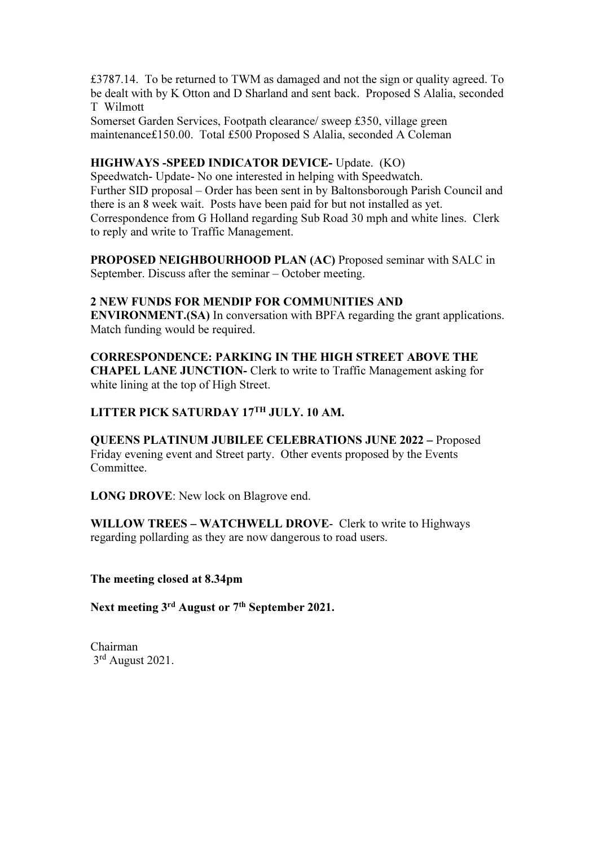£3787.14. To be returned to TWM as damaged and not the sign or quality agreed. To be dealt with by K Otton and D Sharland and sent back. Proposed S Alalia, seconded T Wilmott

Somerset Garden Services, Footpath clearance/ sweep £350, village green maintenance£150.00. Total £500 Proposed S Alalia, seconded A Coleman

#### HIGHWAYS -SPEED INDICATOR DEVICE- Update. (KO)

Speedwatch- Update- No one interested in helping with Speedwatch. Further SID proposal – Order has been sent in by Baltonsborough Parish Council and there is an 8 week wait. Posts have been paid for but not installed as yet. Correspondence from G Holland regarding Sub Road 30 mph and white lines. Clerk to reply and write to Traffic Management.

PROPOSED NEIGHBOURHOOD PLAN (AC) Proposed seminar with SALC in September. Discuss after the seminar – October meeting.

#### 2 NEW FUNDS FOR MENDIP FOR COMMUNITIES AND

ENVIRONMENT.(SA) In conversation with BPFA regarding the grant applications. Match funding would be required.

#### CORRESPONDENCE: PARKING IN THE HIGH STREET ABOVE THE

CHAPEL LANE JUNCTION- Clerk to write to Traffic Management asking for white lining at the top of High Street.

# LITTER PICK SATURDAY 17TH JULY. 10 AM.

QUEENS PLATINUM JUBILEE CELEBRATIONS JUNE 2022 – Proposed Friday evening event and Street party. Other events proposed by the Events Committee.

LONG DROVE: New lock on Blagrove end.

WILLOW TREES – WATCHWELL DROVE- Clerk to write to Highways regarding pollarding as they are now dangerous to road users.

The meeting closed at 8.34pm

Next meeting 3<sup>rd</sup> August or 7<sup>th</sup> September 2021.

Chairman 3rd August 2021.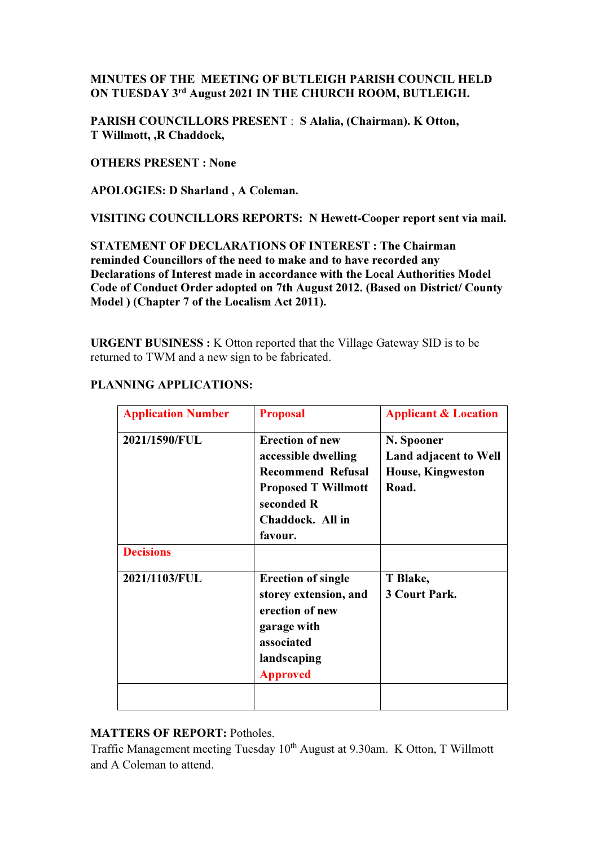# MINUTES OF THE MEETING OF BUTLEIGH PARISH COUNCIL HELD ON TUESDAY 3rd August 2021 IN THE CHURCH ROOM, BUTLEIGH.

PARISH COUNCILLORS PRESENT : S Alalia, (Chairman). K Otton, T Willmott, ,R Chaddock,

OTHERS PRESENT : None

APOLOGIES: D Sharland , A Coleman.

VISITING COUNCILLORS REPORTS: N Hewett-Cooper report sent via mail.

STATEMENT OF DECLARATIONS OF INTEREST : The Chairman reminded Councillors of the need to make and to have recorded any Declarations of Interest made in accordance with the Local Authorities Model Code of Conduct Order adopted on 7th August 2012. (Based on District/ County Model ) (Chapter 7 of the Localism Act 2011).

URGENT BUSINESS : K Otton reported that the Village Gateway SID is to be returned to TWM and a new sign to be fabricated.

# PLANNING APPLICATIONS:

| <b>Application Number</b> | <b>Proposal</b>                                                                                                                                      | <b>Applicant &amp; Location</b>                                          |
|---------------------------|------------------------------------------------------------------------------------------------------------------------------------------------------|--------------------------------------------------------------------------|
| 2021/1590/FUL             | <b>Erection of new</b><br>accessible dwelling<br><b>Recommend Refusal</b><br><b>Proposed T Willmott</b><br>seconded R<br>Chaddock. All in<br>favour. | N. Spooner<br>Land adjacent to Well<br><b>House, Kingweston</b><br>Road. |
| <b>Decisions</b>          |                                                                                                                                                      |                                                                          |
| 2021/1103/FUL             | <b>Erection of single</b><br>storey extension, and<br>erection of new<br>garage with<br>associated<br>landscaping<br><b>Approved</b>                 | T Blake,<br><b>3 Court Park.</b>                                         |
|                           |                                                                                                                                                      |                                                                          |

# MATTERS OF REPORT: Potholes.

Traffic Management meeting Tuesday 10<sup>th</sup> August at 9.30am. K Otton, T Willmott and A Coleman to attend.